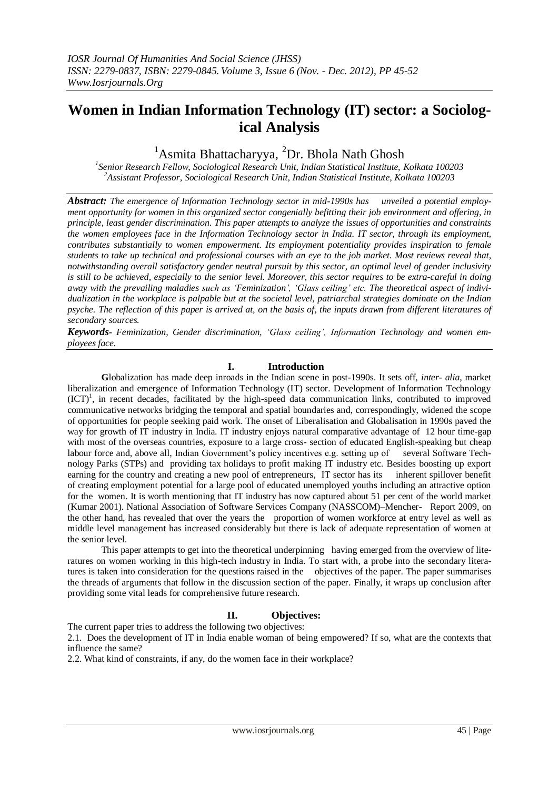# **Women in Indian Information Technology (IT) sector: a Sociological Analysis**

<sup>1</sup>Asmita Bhattacharyya, <sup>2</sup>Dr. Bhola Nath Ghosh

*1 Senior Research Fellow, Sociological Research Unit, Indian Statistical Institute, Kolkata 100203 <sup>2</sup>Assistant Professor, Sociological Research Unit, Indian Statistical Institute, Kolkata 100203*

*Abstract: The emergence of Information Technology sector in mid-1990s has unveiled a potential employment opportunity for women in this organized sector congenially befitting their job environment and offering, in principle, least gender discrimination. This paper attempts to analyze the issues of opportunities and constraints the women employees face in the Information Technology sector in India. IT sector, through its employment, contributes substantially to women empowerment. Its employment potentiality provides inspiration to female students to take up technical and professional courses with an eye to the job market. Most reviews reveal that, notwithstanding overall satisfactory gender neutral pursuit by this sector, an optimal level of gender inclusivity is still to be achieved, especially to the senior level. Moreover, this sector requires to be extra-careful in doing away with the prevailing maladies such as 'Feminization', 'Glass ceiling' etc. The theoretical aspect of individualization in the workplace is palpable but at the societal level, patriarchal strategies dominate on the Indian psyche. The reflection of this paper is arrived at, on the basis of, the inputs drawn from different literatures of secondary sources.* 

*Keywords- Feminization, Gender discrimination, 'Glass ceiling', Information Technology and women employees face.*

# **I. Introduction**

**G**lobalization has made deep inroads in the Indian scene in post-1990s. It sets off, *inter- alia*, market liberalization and emergence of Information Technology (IT) sector. Development of Information Technology  $(ICT)^1$ , in recent decades, facilitated by the high-speed data communication links, contributed to improved communicative networks bridging the temporal and spatial boundaries and, correspondingly, widened the scope of opportunities for people seeking paid work. The onset of Liberalisation and Globalisation in 1990s paved the way for growth of IT industry in India. IT industry enjoys natural comparative advantage of 12 hour time-gap with most of the overseas countries, exposure to a large cross- section of educated English-speaking but cheap labour force and, above all, Indian Government"s policy incentives e.g. setting up of several Software Technology Parks (STPs) and providing tax holidays to profit making IT industry etc. Besides boosting up export earning for the country and creating a new pool of entrepreneurs, IT sector has its inherent spillover benefit of creating employment potential for a large pool of educated unemployed youths including an attractive option for the women. It is worth mentioning that IT industry has now captured about 51 per cent of the world market (Kumar 2001). National Association of Software Services Company (NASSCOM)–Mencher- Report 2009, on the other hand, has revealed that over the years the proportion of women workforce at entry level as well as middle level management has increased considerably but there is lack of adequate representation of women at the senior level.

This paper attempts to get into the theoretical underpinning having emerged from the overview of literatures on women working in this high-tech industry in India. To start with, a probe into the secondary literatures is taken into consideration for the questions raised in the objectives of the paper. The paper summarises the threads of arguments that follow in the discussion section of the paper. Finally, it wraps up conclusion after providing some vital leads for comprehensive future research.

# **II. Objectives:**

The current paper tries to address the following two objectives:

2.1. Does the development of IT in India enable woman of being empowered? If so, what are the contexts that influence the same?

2.2. What kind of constraints, if any, do the women face in their workplace?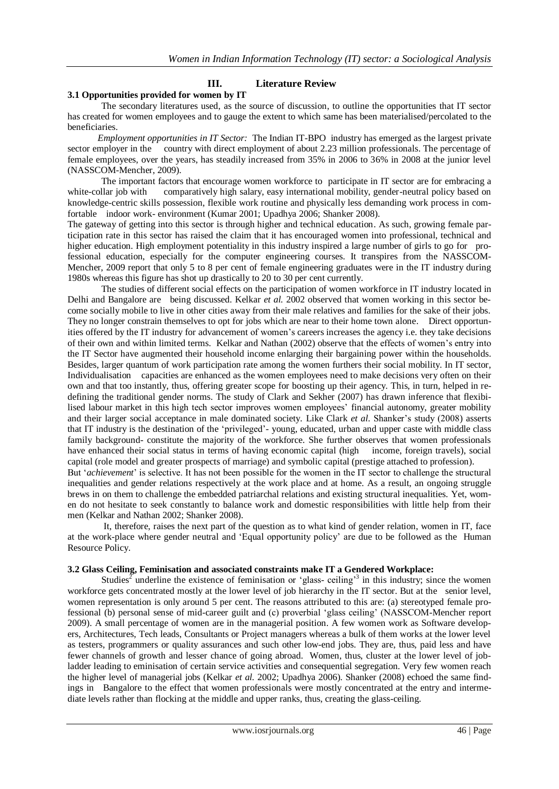# **III. Literature Review**

#### **3.1 Opportunities provided for women by IT**

The secondary literatures used, as the source of discussion, to outline the opportunities that IT sector has created for women employees and to gauge the extent to which same has been materialised/percolated to the beneficiaries.

 *Employment opportunities in IT Sector:* The Indian IT-BPO industry has emerged as the largest private sector employer in the country with direct employment of about 2.23 million professionals. The percentage of female employees, over the years, has steadily increased from 35% in 2006 to 36% in 2008 at the junior level (NASSCOM-Mencher, 2009).

The important factors that encourage women workforce to participate in IT sector are for embracing a white-collar job with comparatively high salary, easy international mobility, gender-neutral policy based on knowledge-centric skills possession, flexible work routine and physically less demanding work process in comfortable indoor work- environment (Kumar 2001; Upadhya 2006; Shanker 2008).

The gateway of getting into this sector is through higher and technical education. As such, growing female participation rate in this sector has raised the claim that it has encouraged women into professional, technical and higher education. High employment potentiality in this industry inspired a large number of girls to go for professional education, especially for the computer engineering courses. It transpires from the NASSCOM-Mencher, 2009 report that only 5 to 8 per cent of female engineering graduates were in the IT industry during 1980s whereas this figure has shot up drastically to 20 to 30 per cent currently.

The studies of different social effects on the participation of women workforce in IT industry located in Delhi and Bangalore are being discussed. Kelkar *et al.* 2002 observed that women working in this sector become socially mobile to live in other cities away from their male relatives and families for the sake of their jobs. They no longer constrain themselves to opt for jobs which are near to their home town alone. Direct opportunities offered by the IT industry for advancement of women"s careers increases the agency i.e. they take decisions of their own and within limited terms. Kelkar and Nathan (2002) observe that the effects of women"s entry into the IT Sector have augmented their household income enlarging their bargaining power within the households. Besides, larger quantum of work participation rate among the women furthers their social mobility. In IT sector, Individualisation capacities are enhanced as the women employees need to make decisions very often on their own and that too instantly, thus, offering greater scope for boosting up their agency. This, in turn, helped in redefining the traditional gender norms. The study of Clark and Sekher (2007) has drawn inference that flexibilised labour market in this high tech sector improves women employees" financial autonomy, greater mobility and their larger social acceptance in male dominated society. Like Clark *et al*. Shanker"s study (2008) asserts that IT industry is the destination of the "privileged"- young, educated, urban and upper caste with middle class family background- constitute the majority of the workforce. She further observes that women professionals have enhanced their social status in terms of having economic capital (high income, foreign travels), social capital (role model and greater prospects of marriage) and symbolic capital (prestige attached to profession).

But "*achievement*" is selective. It has not been possible for the women in the IT sector to challenge the structural inequalities and gender relations respectively at the work place and at home. As a result, an ongoing struggle brews in on them to challenge the embedded patriarchal relations and existing structural inequalities. Yet, women do not hesitate to seek constantly to balance work and domestic responsibilities with little help from their men (Kelkar and Nathan 2002; Shanker 2008).

It, therefore, raises the next part of the question as to what kind of gender relation, women in IT, face at the work-place where gender neutral and "Equal opportunity policy" are due to be followed as the Human Resource Policy.

#### **3.2 Glass Ceiling, Feminisation and associated constraints make IT a Gendered Workplace:**

Studies<sup>2</sup> underline the existence of feminisation or 'glass- ceiling'<sup>3</sup> in this industry; since the women workforce gets concentrated mostly at the lower level of job hierarchy in the IT sector. But at the senior level, women representation is only around 5 per cent. The reasons attributed to this are: (a) stereotyped female professional (b) personal sense of mid-career guilt and (c) proverbial "glass ceiling" (NASSCOM-Mencher report 2009). A small percentage of women are in the managerial position. A few women work as Software developers, Architectures, Tech leads, Consultants or Project managers whereas a bulk of them works at the lower level as testers, programmers or quality assurances and such other low-end jobs. They are, thus, paid less and have fewer channels of growth and lesser chance of going abroad. Women, thus, cluster at the lower level of jobladder leading to eminisation of certain service activities and consequential segregation. Very few women reach the higher level of managerial jobs (Kelkar *et al.* 2002; Upadhya 2006). Shanker (2008) echoed the same findings in Bangalore to the effect that women professionals were mostly concentrated at the entry and intermediate levels rather than flocking at the middle and upper ranks, thus, creating the glass-ceiling.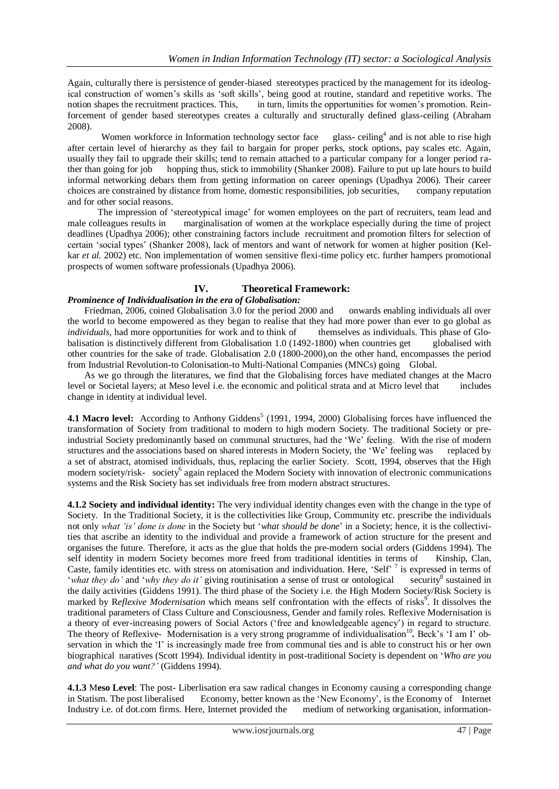Again, culturally there is persistence of gender-biased stereotypes practiced by the management for its ideological construction of women"s skills as "soft skills", being good at routine, standard and repetitive works. The notion shapes the recruitment practices. This, in turn, limits the opportunities for women's promotion. Reinforcement of gender based stereotypes creates a culturally and structurally defined glass-ceiling (Abraham 2008).

Women workforce in Information technology sector face glass-ceiling<sup>4</sup> and is not able to rise high after certain level of hierarchy as they fail to bargain for proper perks, stock options, pay scales etc. Again, usually they fail to upgrade their skills; tend to remain attached to a particular company for a longer period rather than going for job hopping thus, stick to immobility (Shanker 2008). Failure to put up late hours to build informal networking debars them from getting information on career openings (Upadhya 2006). Their career choices are constrained by distance from home, domestic responsibilities, job securities, company reputation and for other social reasons.

 The impression of "stereotypical image" for women employees on the part of recruiters, team lead and male colleagues results in marginalisation of women at the workplace especially during the time of project deadlines (Upadhya 2006); other constraining factors include recruitment and promotion filters for selection of certain "social types" (Shanker 2008), lack of mentors and want of network for women at higher position (Kelkar *et al.* 2002) etc. Non implementation of women sensitive flexi-time policy etc. further hampers promotional prospects of women software professionals (Upadhya 2006).

# **IV. Theoretical Framework:** *Prominence of Individualisation in the era of Globalisation:*

Friedman, 2006, coined Globalisation 3.0 for the period 2000 and onwards enabling individuals all over the world to become empowered as they began to realise that they had more power than ever to go global as *individuals*, had more opportunities for work and to think of themselves as individuals. This phase of Globalisation is distinctively different from Globalisation 1.0 (1492-1800) when countries get globalised with other countries for the sake of trade. Globalisation 2.0 (1800-2000),on the other hand, encompasses the period from Industrial Revolution-to Colonisation-to Multi-National Companies (MNCs) going Global.

 As we go through the literatures, we find that the Globalising forces have mediated changes at the Macro level or Societal layers; at Meso level i.e. the economic and political strata and at Micro level that includes change in identity at individual level.

**4.1 Macro level:** According to Anthony Giddens<sup>5</sup> (1991, 1994, 2000) Globalising forces have influenced the transformation of Society from traditional to modern to high modern Society. The traditional Society or preindustrial Society predominantly based on communal structures, had the "We" feeling. With the rise of modern structures and the associations based on shared interests in Modern Society, the 'We' feeling was replaced by a set of abstract, atomised individuals, thus, replacing the earlier Society. Scott, 1994, observes that the High modern society/risk- society<sup>6</sup> again replaced the Modern Society with innovation of electronic communications systems and the Risk Society has set individuals free from modern abstract structures.

**4.1.2 Society and individual identity:** The very individual identity changes even with the change in the type of Society. In the Traditional Society, it is the collectivities like Group, Community etc. prescribe the individuals not only *what 'is' done is done* in the Society but "*what should be done*" in a Society; hence, it is the collectivities that ascribe an identity to the individual and provide a framework of action structure for the present and organises the future. Therefore, it acts as the glue that holds the pre-modern social orders (Giddens 1994). The self identity in modern Society becomes more freed from traditional identities in terms of Kinship, Clan, Caste, family identities etc. with stress on atomisation and individuation. Here, 'Self' <sup>7</sup> is expressed in terms of 'what they do' and 'why they do it' giving routinisation a sense of trust or ontological security<sup>8</sup> sustained in the daily activities (Giddens 1991). The third phase of the Society i.e. the High Modern Society/Risk Society is marked by Reflexive Modernisation which means self confrontation with the effects of risks<sup>9</sup>. It dissolves the traditional parameters of Class Culture and Consciousness, Gender and family roles. Reflexive Modernisation is a theory of ever-increasing powers of Social Actors ("free and knowledgeable agency") in regard to structure. The theory of Reflexive- Modernisation is a very strong programme of individualisation<sup>10</sup>. Beck's 'I am I' observation in which the 'I' is increasingly made free from communal ties and is able to construct his or her own biographical naratives (Scott 1994). Individual identity in post-traditional Society is dependent on "*Who are you and what do you want?'* (Giddens 1994)*.*

**4.1.3** M**eso Level**: The post- Liberlisation era saw radical changes in Economy causing a corresponding change in Statism. The post liberalised Economy, better known as the "New Economy", is the Economy of Internet Industry i.e. of dot.com firms. Here, Internet provided the medium of networking organisation, information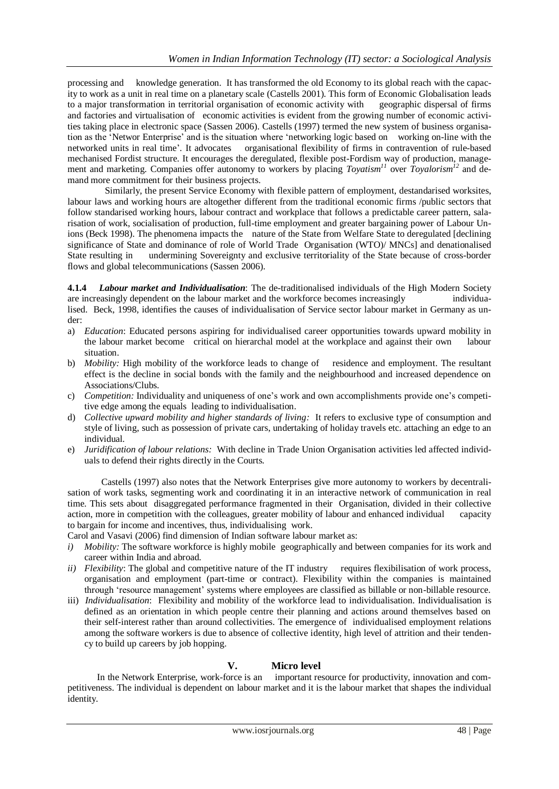processing and knowledge generation. It has transformed the old Economy to its global reach with the capacity to work as a unit in real time on a planetary scale (Castells 2001). This form of Economic Globalisation leads to a major transformation in territorial organisation of economic activity with geographic dispersal of firms and factories and virtualisation of economic activities is evident from the growing number of economic activities taking place in electronic space (Sassen 2006). Castells (1997) termed the new system of business organisation as the "Networ Enterprise" and is the situation where "networking logic based on working on-line with the networked units in real time". It advocates organisational flexibility of firms in contravention of rule-based mechanised Fordist structure. It encourages the deregulated, flexible post-Fordism way of production, management and marketing. Companies offer autonomy to workers by placing *Toyatism<sup>11</sup>* over *Toyalorism<sup>12</sup>* and demand more commitment for their business projects.

 Similarly, the present Service Economy with flexible pattern of employment, destandarised worksites, labour laws and working hours are altogether different from the traditional economic firms /public sectors that follow standarised working hours, labour contract and workplace that follows a predictable career pattern, salarisation of work, socialisation of production, full-time employment and greater bargaining power of Labour Unions (Beck 1998). The phenomena impacts the nature of the State from Welfare State to deregulated [declining significance of State and dominance of role of World Trade Organisation (WTO)/ MNCs] and denationalised State resulting in undermining Sovereignty and exclusive territoriality of the State because of cross-border flows and global telecommunications (Sassen 2006).

**4.1.4** *Labour market and Individualisation*: The de-traditionalised individuals of the High Modern Society are increasingly dependent on the labour market and the workforce becomes increasingly individualised. Beck, 1998, identifies the causes of individualisation of Service sector labour market in Germany as under:

- a) *Education*: Educated persons aspiring for individualised career opportunities towards upward mobility in the labour market become critical on hierarchal model at the workplace and against their own labour situation.
- b) *Mobility:* High mobility of the workforce leads to change of residence and employment. The resultant effect is the decline in social bonds with the family and the neighbourhood and increased dependence on Associations/Clubs.
- c) *Competition:* Individuality and uniqueness of one"s work and own accomplishments provide one"s competitive edge among the equals leading to individualisation.
- d) *Collective upward mobility and higher standards of living:* It refers to exclusive type of consumption and style of living, such as possession of private cars, undertaking of holiday travels etc. attaching an edge to an individual.
- e) *Juridification of labour relations:* With decline in Trade Union Organisation activities led affected individuals to defend their rights directly in the Courts.

Castells (1997) also notes that the Network Enterprises give more autonomy to workers by decentralisation of work tasks, segmenting work and coordinating it in an interactive network of communication in real time. This sets about disaggregated performance fragmented in their Organisation, divided in their collective action, more in competition with the colleagues, greater mobility of labour and enhanced individual capacity to bargain for income and incentives, thus, individualising work.

Carol and Vasavi (2006) find dimension of Indian software labour market as:

- *i) Mobility:* The software workforce is highly mobile geographically and between companies for its work and career within India and abroad.
- *ii) Flexibility*: The global and competitive nature of the IT industry requires flexibilisation of work process, organisation and employment (part-time or contract). Flexibility within the companies is maintained through 'resource management' systems where employees are classified as billable or non-billable resource.
- iii) *Individualisation*: Flexibility and mobility of the workforce lead to individualisation. Individualisation is defined as an orientation in which people centre their planning and actions around themselves based on their self-interest rather than around collectivities. The emergence of individualised employment relations among the software workers is due to absence of collective identity, high level of attrition and their tendency to build up careers by job hopping.

# **V. Micro level**

In the Network Enterprise, work-force is an important resource for productivity, innovation and competitiveness. The individual is dependent on labour market and it is the labour market that shapes the individual identity.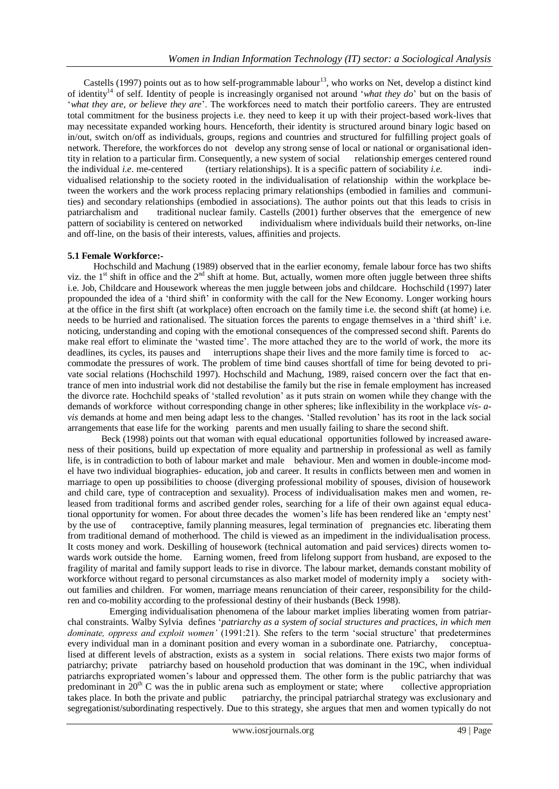Castells (1997) points out as to how self-programmable labour<sup>13</sup>, who works on Net, develop a distinct kind of identity<sup>14</sup> of self. Identity of people is increasingly organised not around "*what they do*" but on the basis of "*what they are, or believe they are*". The workforces need to match their portfolio careers. They are entrusted total commitment for the business projects i.e. they need to keep it up with their project-based work-lives that may necessitate expanded working hours. Henceforth, their identity is structured around binary logic based on in/out, switch on/off as individuals, groups, regions and countries and structured for fulfilling project goals of network. Therefore, the workforces do not develop any strong sense of local or national or organisational identity in relation to a particular firm. Consequently, a new system of social relationship emerges centered round the individual *i.e*. me-centered (tertiary relationships). It is a specific pattern of sociability *i.e.* individualised relationship to the society rooted in the individualisation of relationship within the workplace between the workers and the work process replacing primary relationships (embodied in families and communities) and secondary relationships (embodied in associations). The author points out that this leads to crisis in patriarchalism and traditional nuclear family. Castells (2001) further observes that the emergence of new pattern of sociability is centered on networked individualism where individuals build their networks, on-line and off-line, on the basis of their interests, values, affinities and projects.

#### **5.1 Female Workforce:-**

 Hochschild and Machung (1989) observed that in the earlier economy, female labour force has two shifts viz. the 1<sup>st</sup> shift in office and the  $2<sup>nd</sup>$  shift at home. But, actually, women more often juggle between three shifts i.e. Job, Childcare and Housework whereas the men juggle between jobs and childcare. Hochschild (1997) later propounded the idea of a "third shift" in conformity with the call for the New Economy. Longer working hours at the office in the first shift (at workplace) often encroach on the family time i.e. the second shift (at home) i.e. needs to be hurried and rationalised. The situation forces the parents to engage themselves in a "third shift" i.e. noticing, understanding and coping with the emotional consequences of the compressed second shift. Parents do make real effort to eliminate the "wasted time". The more attached they are to the world of work, the more its deadlines, its cycles, its pauses and interruptions shape their lives and the more family time is forced to accommodate the pressures of work. The problem of time bind causes shortfall of time for being devoted to private social relations (Hochschild 1997). Hochschild and Machung, 1989, raised concern over the fact that entrance of men into industrial work did not destabilise the family but the rise in female employment has increased the divorce rate. Hochchild speaks of "stalled revolution" as it puts strain on women while they change with the demands of workforce without corresponding change in other spheres; like inflexibility in the workplace *vis- avis* demands at home and men being adapt less to the changes. "Stalled revolution" has its root in the lack social arrangements that ease life for the working parents and men usually failing to share the second shift.

Beck (1998) points out that woman with equal educational opportunities followed by increased awareness of their positions, build up expectation of more equality and partnership in professional as well as family life, is in contradiction to both of labour market and male behaviour. Men and women in double-income model have two individual biographies- education, job and career. It results in conflicts between men and women in marriage to open up possibilities to choose (diverging professional mobility of spouses, division of housework and child care, type of contraception and sexuality). Process of individualisation makes men and women, released from traditional forms and ascribed gender roles, searching for a life of their own against equal educational opportunity for women. For about three decades the women"s life has been rendered like an "empty nest" by the use of contraceptive, family planning measures, legal termination of pregnancies etc. liberating them from traditional demand of motherhood. The child is viewed as an impediment in the individualisation process. It costs money and work. Deskilling of housework (technical automation and paid services) directs women towards work outside the home. Earning women, freed from lifelong support from husband, are exposed to the fragility of marital and family support leads to rise in divorce. The labour market, demands constant mobility of workforce without regard to personal circumstances as also market model of modernity imply a society without families and children. For women, marriage means renunciation of their career, responsibility for the children and co-mobility according to the professional destiny of their husbands (Beck 1998).

 Emerging individualisation phenomena of the labour market implies liberating women from patriarchal constraints. Walby Sylvia defines "*patriarchy as a system of social structures and practices, in which men dominate, oppress and exploit women'* (1991:21). She refers to the term "social structure" that predetermines every individual man in a dominant position and every woman in a subordinate one. Patriarchy, conceptualised at different levels of abstraction, exists as a system in social relations. There exists two major forms of patriarchy; private patriarchy based on household production that was dominant in the 19C, when individual patriarchs expropriated women"s labour and oppressed them. The other form is the public patriarchy that was predominant in  $20<sup>th</sup>$  C was the in public arena such as employment or state; where collective appropriation takes place. In both the private and public patriarchy, the principal patriarchal strategy was exclusionary and segregationist/subordinating respectively. Due to this strategy, she argues that men and women typically do not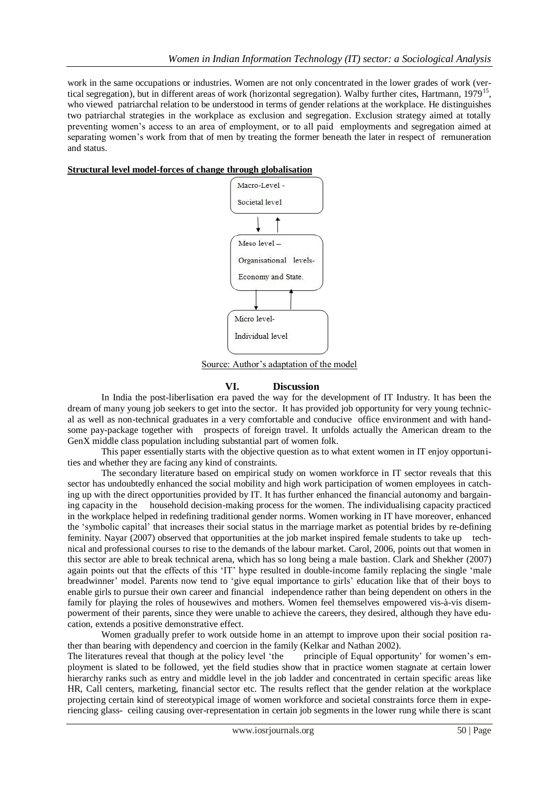work in the same occupations or industries. Women are not only concentrated in the lower grades of work (vertical segregation), but in different areas of work (horizontal segregation). Walby further cites, Hartmann, 1979<sup>15</sup>, who viewed patriarchal relation to be understood in terms of gender relations at the workplace. He distinguishes two patriarchal strategies in the workplace as exclusion and segregation. Exclusion strategy aimed at totally preventing women"s access to an area of employment, or to all paid employments and segregation aimed at separating women's work from that of men by treating the former beneath the later in respect of remuneration and status.

#### **Structural level model-forces of change through globalisation**



Source: Author's adaptation of the model

# **VI. Discussion**

In India the post-liberlisation era paved the way for the development of IT Industry. It has been the dream of many young job seekers to get into the sector. It has provided job opportunity for very young technical as well as non-technical graduates in a very comfortable and conducive office environment and with handsome pay-package together with prospects of foreign travel. It unfolds actually the American dream to the GenX middle class population including substantial part of women folk.

 This paper essentially starts with the objective question as to what extent women in IT enjoy opportunities and whether they are facing any kind of constraints.

 The secondary literature based on empirical study on women workforce in IT sector reveals that this sector has undoubtedly enhanced the social mobility and high work participation of women employees in catching up with the direct opportunities provided by IT. It has further enhanced the financial autonomy and bargaining capacity in the household decision-making process for the women. The individualising capacity practiced in the workplace helped in redefining traditional gender norms. Women working in IT have moreover, enhanced the "symbolic capital" that increases their social status in the marriage market as potential brides by re-defining feminity. Nayar (2007) observed that opportunities at the job market inspired female students to take up technical and professional courses to rise to the demands of the labour market. Carol, 2006, points out that women in this sector are able to break technical arena, which has so long being a male bastion. Clark and Shekher (2007) again points out that the effects of this "IT" hype resulted in double-income family replacing the single "male breadwinner" model. Parents now tend to "give equal importance to girls" education like that of their boys to enable girls to pursue their own career and financial independence rather than being dependent on others in the family for playing the roles of housewives and mothers. Women feel themselves empowered vis-à-vis disempowerment of their parents, since they were unable to achieve the careers, they desired, although they have education, extends a positive demonstrative effect.

Women gradually prefer to work outside home in an attempt to improve upon their social position ra-

ther than bearing with dependency and coercion in the family (Kelkar and Nathan 2002).<br>The literatures reveal that though at the policy level 'the principle of Equal opportunity' for women's em-The literatures reveal that though at the policy level 'the ployment is slated to be followed, yet the field studies show that in practice women stagnate at certain lower hierarchy ranks such as entry and middle level in the job ladder and concentrated in certain specific areas like HR, Call centers, marketing, financial sector etc. The results reflect that the gender relation at the workplace projecting certain kind of stereotypical image of women workforce and societal constraints force them in experiencing glass- ceiling causing over-representation in certain job segments in the lower rung while there is scant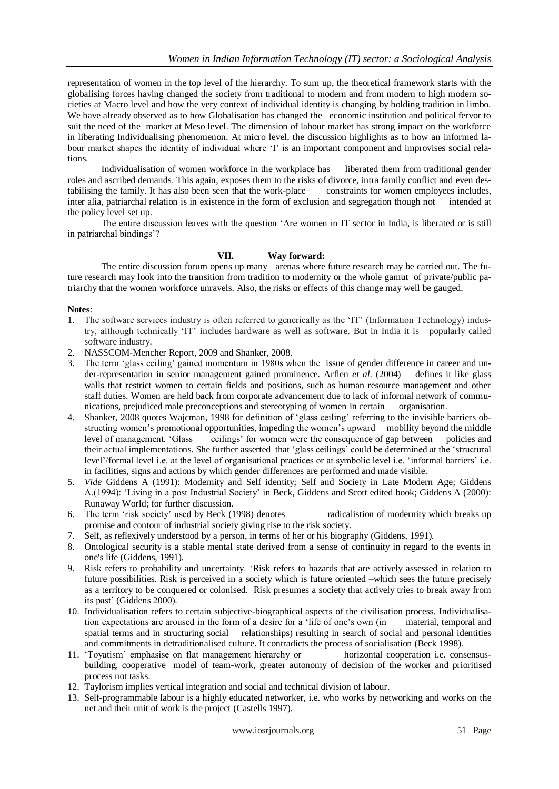representation of women in the top level of the hierarchy. To sum up, the theoretical framework starts with the globalising forces having changed the society from traditional to modern and from modern to high modern societies at Macro level and how the very context of individual identity is changing by holding tradition in limbo. We have already observed as to how Globalisation has changed the economic institution and political fervor to suit the need of the market at Meso level. The dimension of labour market has strong impact on the workforce in liberating Individualising phenomenon. At micro level, the discussion highlights as to how an informed labour market shapes the identity of individual where 'I' is an important component and improvises social relations.

Individualisation of women workforce in the workplace has liberated them from traditional gender roles and ascribed demands. This again, exposes them to the risks of divorce, intra family conflict and even destabilising the family. It has also been seen that the work-place constraints for women employees includes, inter alia, patriarchal relation is in existence in the form of exclusion and segregation though not intended at inter alia, patriarchal relation is in existence in the form of exclusion and segregation though not the policy level set up.

The entire discussion leaves with the question "Are women in IT sector in India, is liberated or is still in patriarchal bindings"?

# **VII. Way forward:**

The entire discussion forum opens up many arenas where future research may be carried out. The future research may look into the transition from tradition to modernity or the whole gamut of private/public patriarchy that the women workforce unravels. Also, the risks or effects of this change may well be gauged.

#### **Notes**:

- 1. The software services industry is often referred to generically as the "IT" (Information Technology) industry, although technically "IT" includes hardware as well as software. But in India it is popularly called software industry.
- 2. NASSCOM-Mencher Report, 2009 and Shanker, 2008.
- 3. The term "glass ceiling" gained momentum in 1980s when the issue of gender difference in career and under-representation in senior management gained prominence. Arflen *et al*. (2004) defines it like glass walls that restrict women to certain fields and positions, such as human resource management and other staff duties. Women are held back from corporate advancement due to lack of informal network of commu-<br>nications, prejudiced male preconceptions and stereotyping of women in certain organisation. nications, prejudiced male preconceptions and stereotyping of women in certain
- 4. Shanker, 2008 quotes Wajcman, 1998 for definition of "glass ceiling" referring to the invisible barriers obstructing women"s promotional opportunities, impeding the women"s upward mobility beyond the middle level of management. "Glass ceilings" for women were the consequence of gap between policies and their actual implementations. She further asserted that "glass ceilings" could be determined at the "structural level"/formal level i.e. at the level of organisational practices or at symbolic level i.e. "informal barriers" i.e. in facilities, signs and actions by which gender differences are performed and made visible.
- 5. *Vide* Giddens A (1991): Modernity and Self identity; Self and Society in Late Modern Age; Giddens A.(1994): "Living in a post Industrial Society" in Beck, Giddens and Scott edited book; Giddens A (2000): Runaway World; for further discussion.
- 6. The term "risk society" used by Beck (1998) denotes radicalistion of modernity which breaks up promise and contour of industrial society giving rise to the risk society.
- 7. Self, as reflexively understood by a person, in terms of her or his biography (Giddens, 1991)*.*
- 8. Ontological security is a stable mental state derived from a sense of continuity in regard to the events in one's life (Giddens, 1991)*.*
- 9. Risk refers to probability and uncertainty. "Risk refers to hazards that are actively assessed in relation to future possibilities. Risk is perceived in a society which is future oriented –which sees the future precisely as a territory to be conquered or colonised. Risk presumes a society that actively tries to break away from its past" (Giddens 2000).
- 10. Individualisation refers to certain subjective-biographical aspects of the civilisation process. Individualisation expectations are aroused in the form of a desire for a "life of one"s own (in material, temporal and spatial terms and in structuring social relationships) resulting in search of social and personal identities and commitments in detraditionalised culture. It contradicts the process of socialisation (Beck 1998).
- 11. "Toyatism" emphasise on flat management hierarchy or horizontal cooperation i.e. consensusbuilding, cooperative model of team-work, greater autonomy of decision of the worker and prioritised process not tasks.
- 12. Taylorism implies vertical integration and social and technical division of labour.
- 13. Self-programmable labour is a highly educated networker, i.e. who works by networking and works on the net and their unit of work is the project (Castells 1997).